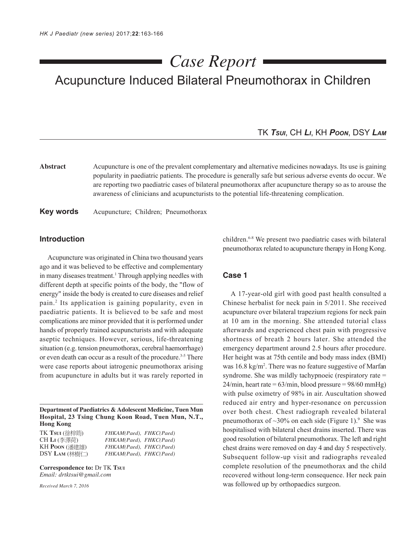# Acupuncture Induced Bilateral Pneumothorax in Children *Case Report*

### TK *TSUI*, CH *LI*, KH *POON*, DSY *LAM*

**Abstract** Acupuncture is one of the prevalent complementary and alternative medicines nowadays. Its use is gaining popularity in paediatric patients. The procedure is generally safe but serious adverse events do occur. We are reporting two paediatric cases of bilateral pneumothorax after acupuncture therapy so as to arouse the awareness of clinicians and acupuncturists to the potential life-threatening complication.

**Key words** Acupuncture; Children; Pneumothorax

#### **Introduction**

Acupuncture was originated in China two thousand years ago and it was believed to be effective and complementary in many diseases treatment.<sup>1</sup> Through applying needles with different depth at specific points of the body, the "flow of energy" inside the body is created to cure diseases and relief pain.2 Its application is gaining popularity, even in paediatric patients. It is believed to be safe and most complications are minor provided that it is performed under hands of properly trained acupuncturists and with adequate aseptic techniques. However, serious, life-threatening situation (e.g. tension pneumothorax, cerebral haemorrhage) or even death can occur as a result of the procedure.<sup>3-5</sup> There were case reports about iatrogenic pneumothorax arising from acupuncture in adults but it was rarely reported in

**Department of Paediatrics & Adolescent Medicine, Tuen Mun Hospital, 23 Tsing Chung Koon Road, Tuen Mun, N.T., Hong Kong**

| FHKAM(Paed), FHKC(Paed) |
|-------------------------|
| FHKAM(Paed), FHKC(Paed) |
| FHKAM(Paed), FHKC(Paed) |
| FHKAM(Paed), FHKC(Paed) |
|                         |

**Correspondence to:** Dr TK **TSUI** *Email: drtktsui@gmail.com*

*Received March 7, 2016*

children.6-8 We present two paediatric cases with bilateral pneumothorax related to acupuncture therapy in Hong Kong.

#### **Case 1**

A 17-year-old girl with good past health consulted a Chinese herbalist for neck pain in 5/2011. She received acupuncture over bilateral trapezium regions for neck pain at 10 am in the morning. She attended tutorial class afterwards and experienced chest pain with progressive shortness of breath 2 hours later. She attended the emergency department around 2.5 hours after procedure. Her height was at 75th centile and body mass index (BMI) was 16.8 kg/m<sup>2</sup>. There was no feature suggestive of Marfan syndrome. She was mildly tachypnoeic (respiratory rate =  $24/min$ , heart rate = 63/min, blood pressure = 98/60 mmHg) with pulse oximetry of 98% in air. Auscultation showed reduced air entry and hyper-resonance on percussion over both chest. Chest radiograph revealed bilateral pneumothorax of  $\sim$ 30% on each side (Figure 1).<sup>9</sup> She was hospitalised with bilateral chest drains inserted. There was good resolution of bilateral pneumothorax. The left and right chest drains were removed on day 4 and day 5 respectively. Subsequent follow-up visit and radiographs revealed complete resolution of the pneumothorax and the child recovered without long-term consequence. Her neck pain was followed up by orthopaedics surgeon.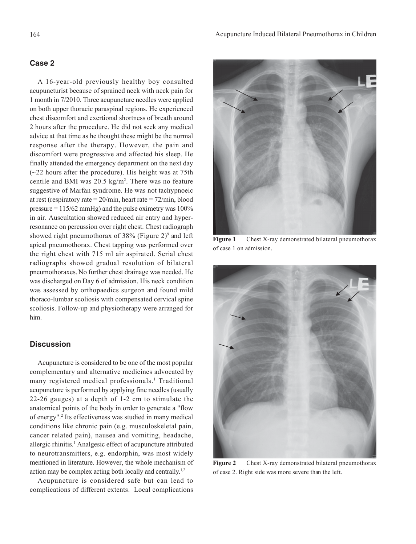#### **Case 2**

A 16-year-old previously healthy boy consulted acupuncturist because of sprained neck with neck pain for 1 month in 7/2010. Three acupuncture needles were applied on both upper thoracic paraspinal regions. He experienced chest discomfort and exertional shortness of breath around 2 hours after the procedure. He did not seek any medical advice at that time as he thought these might be the normal response after the therapy. However, the pain and discomfort were progressive and affected his sleep. He finally attended the emergency department on the next day  $(-22$  hours after the procedure). His height was at 75th centile and BMI was  $20.5 \text{ kg/m}^2$ . There was no feature suggestive of Marfan syndrome. He was not tachypnoeic at rest (respiratory rate  $= 20/\text{min}$ , heart rate  $= 72/\text{min}$ , blood pressure  $= 115/62$  mmHg) and the pulse oximetry was 100% in air. Auscultation showed reduced air entry and hyperresonance on percussion over right chest. Chest radiograph showed right pneumothorax of  $38\%$  (Figure 2)<sup>9</sup> and left apical pneumothorax. Chest tapping was performed over the right chest with 715 ml air aspirated. Serial chest radiographs showed gradual resolution of bilateral pneumothoraxes. No further chest drainage was needed. He was discharged on Day 6 of admission. His neck condition was assessed by orthopaedics surgeon and found mild thoraco-lumbar scoliosis with compensated cervical spine scoliosis. Follow-up and physiotherapy were arranged for him.

# **Discussion**

Acupuncture is considered to be one of the most popular complementary and alternative medicines advocated by many registered medical professionals.<sup>1</sup> Traditional acupuncture is performed by applying fine needles (usually 22-26 gauges) at a depth of 1-2 cm to stimulate the anatomical points of the body in order to generate a "flow of energy".2 Its effectiveness was studied in many medical conditions like chronic pain (e.g. musculoskeletal pain, cancer related pain), nausea and vomiting, headache, allergic rhinitis.<sup>1</sup> Analgesic effect of acupuncture attributed to neurotransmitters, e.g. endorphin, was most widely mentioned in literature. However, the whole mechanism of action may be complex acting both locally and centrally.1,2

Acupuncture is considered safe but can lead to complications of different extents. Local complications



Figure 1 Chest X-ray demonstrated bilateral pneumothorax of case 1 on admission.



Figure 2 Chest X-ray demonstrated bilateral pneumothorax of case 2. Right side was more severe than the left.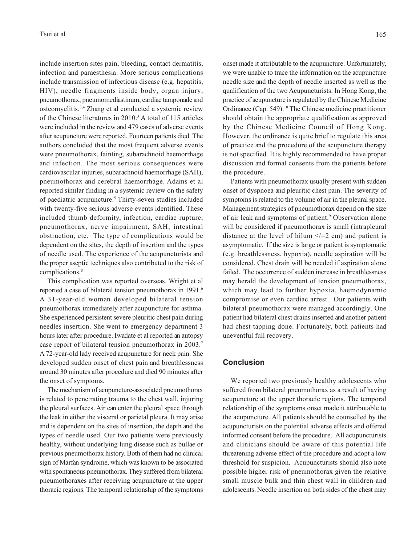include insertion sites pain, bleeding, contact dermatitis, infection and paraesthesia. More serious complications include transmission of infectious disease (e.g. hepatitis, HIV), needle fragments inside body, organ injury, pneumothorax, pneumomediastinum, cardiac tamponade and osteomyelitis.3,4 Zhang et al conducted a systemic review of the Chinese literatures in 2010.<sup>3</sup> A total of 115 articles were included in the review and 479 cases of adverse events after acupuncture were reported. Fourteen patients died. The authors concluded that the most frequent adverse events were pneumothorax, fainting, subarachnoid haemorrhage and infection. The most serious consequences were cardiovascular injuries, subarachnoid haemorrhage (SAH), pneumothorax and cerebral haemorrhage. Adams et al reported similar finding in a systemic review on the safety of paediatric acupuncture.<sup>5</sup> Thirty-seven studies included with twenty-five serious adverse events identified. These included thumb deformity, infection, cardiac rupture, pneumothorax, nerve impairment, SAH, intestinal obstruction, etc. The type of complications would be dependent on the sites, the depth of insertion and the types of needle used. The experience of the acupuncturists and the proper aseptic techniques also contributed to the risk of complications.8

This complication was reported overseas. Wright et al reported a case of bilateral tension pneumothorax in 1991.<sup>6</sup> A 31-year-old woman developed bilateral tension pneumothorax immediately after acupuncture for asthma. She experienced persistent severe pleuritic chest pain during needles insertion. She went to emergency department 3 hours later after procedure. Iwadate et al reported an autopsy case report of bilateral tension pneumothorax in 2003.7 A 72-year-old lady received acupuncture for neck pain. She developed sudden onset of chest pain and breathlessness around 30 minutes after procedure and died 90 minutes after the onset of symptoms.

The mechanism of acupuncture-associated pneumothorax is related to penetrating trauma to the chest wall, injuring the pleural surfaces. Air can enter the pleural space through the leak in either the visceral or parietal pleura. It may arise and is dependent on the sites of insertion, the depth and the types of needle used. Our two patients were previously healthy, without underlying lung disease such as bullae or previous pneumothorax history. Both of them had no clinical sign of Marfan syndrome, which was known to be associated with spontaneous pneumothorax. They suffered from bilateral pneumothoraxes after receiving acupuncture at the upper thoracic regions. The temporal relationship of the symptoms onset made it attributable to the acupuncture. Unfortunately, we were unable to trace the information on the acupuncture needle size and the depth of needle inserted as well as the qualification of the two Acupuncturists. In Hong Kong, the practice of acupuncture is regulated by the Chinese Medicine Ordinance (Cap. 549).10 The Chinese medicine practitioner should obtain the appropriate qualification as approved by the Chinese Medicine Council of Hong Kong. However, the ordinance is quite brief to regulate this area of practice and the procedure of the acupuncture therapy is not specified. It is highly recommended to have proper discussion and formal consents from the patients before the procedure.

Patients with pneumothorax usually present with sudden onset of dyspnoea and pleuritic chest pain. The severity of symptoms is related to the volume of air in the pleural space. Management strategies of pneumothorax depend on the size of air leak and symptoms of patient.<sup>9</sup> Observation alone will be considered if pneumothorax is small (intrapleural distance at the level of hilum  $\leq$  = 2 cm) and patient is asymptomatic. If the size is large or patient is symptomatic (e.g. breathlessness, hypoxia), needle aspiration will be considered. Chest drain will be needed if aspiration alone failed. The occurrence of sudden increase in breathlessness may herald the development of tension pneumothorax, which may lead to further hypoxia, haemodynamic compromise or even cardiac arrest. Our patients with bilateral pneumothorax were managed accordingly. One patient had bilateral chest drains inserted and another patient had chest tapping done. Fortunately, both patients had uneventful full recovery.

#### **Conclusion**

We reported two previously healthy adolescents who suffered from bilateral pneumothorax as a result of having acupuncture at the upper thoracic regions. The temporal relationship of the symptoms onset made it attributable to the acupuncture. All patients should be counselled by the acupuncturists on the potential adverse effects and offered informed consent before the procedure. All acupuncturists and clinicians should be aware of this potential life threatening adverse effect of the procedure and adopt a low threshold for suspicion. Acupuncturists should also note possible higher risk of pneumothorax given the relative small muscle bulk and thin chest wall in children and adolescents. Needle insertion on both sides of the chest may